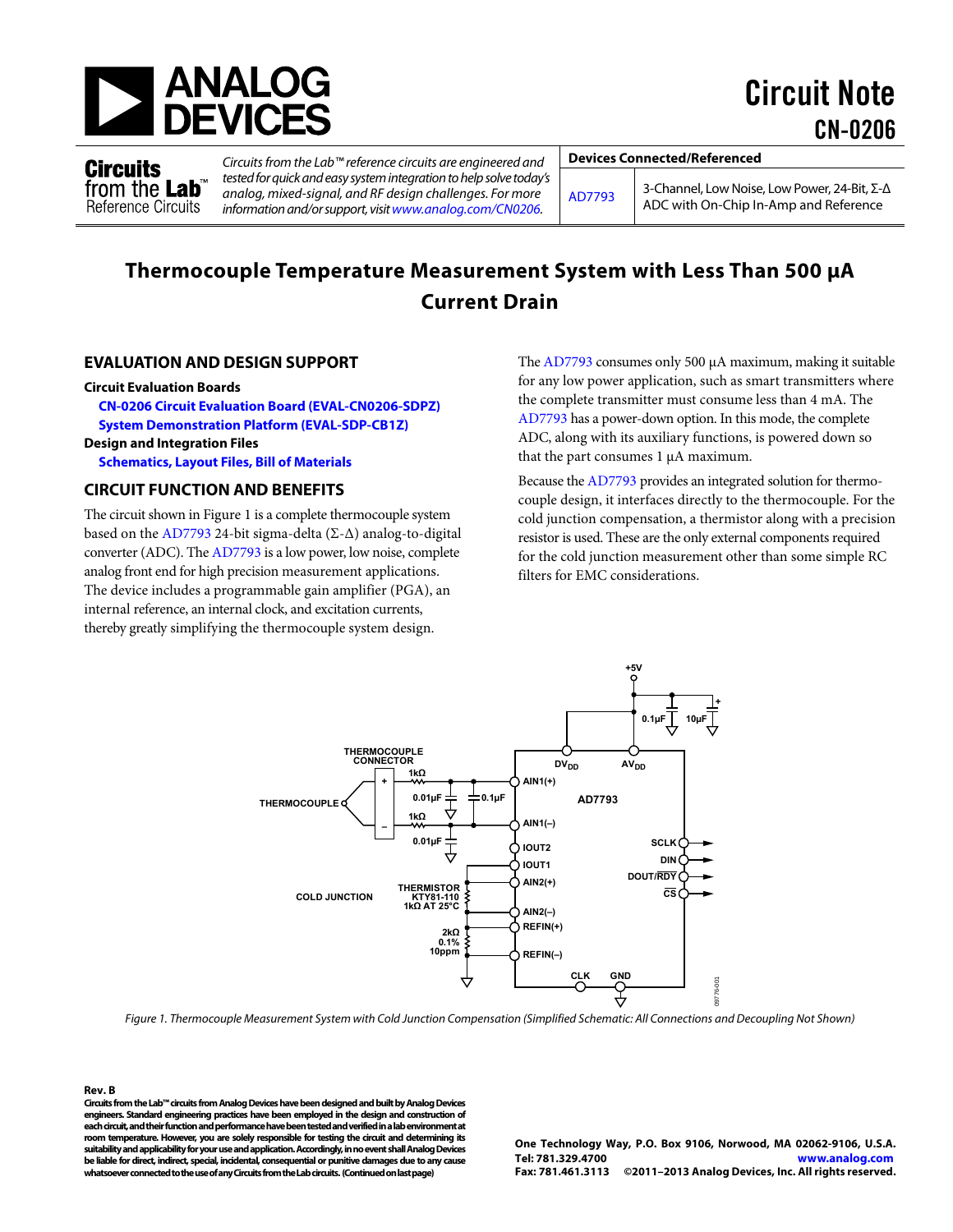

Circuit Note CN-0206

Circuits from the Lab<sup>®</sup> **Reference Circuits** 

Circuits from the Lab™ reference circuits are engineered and tested for quick and easy system integration to help solve today's analog, mixed-signal, and RF design challenges. For more information and/or support, visi[t www.analog.com/CN0206.](http://www.analog.com/CN0206?doc=CN0206.pdf)

**Devices Connected/Referenced** 

[AD7793](http://www.analog.com/AD7793?doc=CN0206.pdf) 3-Channel, Low Noise, Low Power, 24-Bit, Σ-Δ ADC with On-Chip In-Amp and Reference

# **Thermocouple Temperature Measurement System with Less Than 500 μA Current Drain**

# **EVALUATION AND DESIGN SUPPORT**

#### **Circuit Evaluation Boards**

**[CN-0206 Circuit Evaluation Board \(EVAL-CN0206-SDPZ\)](http://www.analog.com/EVAL-CN0206-SDPZ?doc=CN0206.pdf)  [System Demonstration Platform \(EVAL-SDP-CB1Z\)](http://www.analog.com/EVAL-SDP-CB1Z?doc=CN0206.pdf)** 

# **Design and Integration Files**

**[Schematics, Layout Files, Bill of Materials](http://www.analog.com/CN0206-DesignSupport?doc=CN0206.pdf)**

# **CIRCUIT FUNCTION AND BENEFITS**

The circuit shown i[n Figure 1 i](#page-0-0)s a complete thermocouple system based on the [AD7793 2](http://www.analog.com/ad7793?doc=CN0206.pdf)4-bit sigma-delta ( $\Sigma$ - $\Delta$ ) analog-to-digital converter (ADC). Th[e AD7793 i](http://www.analog.com/ad7793?doc=CN0206.pdf)s a low power, low noise, complete analog front end for high precision measurement applications. The device includes a programmable gain amplifier (PGA), an internal reference, an internal clock, and excitation currents, thereby greatly simplifying the thermocouple system design.

Th[e AD7793 c](http://www.analog.com/ad7793?doc=CN0206.pdf)onsumes only 500 μA maximum, making it suitable for any low power application, such as smart transmitters where the complete transmitter must consume less than 4 mA. The [AD7793 h](http://www.analog.com/ad7793?doc=CN0206.pdf)as a power-down option. In this mode, the complete ADC, along with its auxiliary functions, is powered down so that the part consumes 1 μA maximum.

Because th[e AD7793](http://www.analog.com/ad7793?doc=CN0206.pdf) provides an integrated solution for thermocouple design, it interfaces directly to the thermocouple. For the cold junction compensation, a thermistor along with a precision resistor is used. These are the only external components required for the cold junction measurement other than some simple RC filters for EMC considerations.



<span id="page-0-0"></span>Figure 1. Thermocouple Measurement System with Cold Junction Compensation (Simplified Schematic: All Connections and Decoupling Not Shown)

**Rev. B Circuits from the Lab™ circuits from Analog Devices have been designed and built by Analog Devices engineers. Standard engineering practices have been employed in the design and construction of each circuit, and their function and performance have been tested and verified in a lab environment at room temperature. However, you are solely responsible for testing the circuit and determining its suitability and applicability for your use and application. Accordingly, in no event shall Analog Devices be liable for direct, indirect, special, incidental, consequential or punitive damages due to any cause whatsoever connected to the use of any Circuits from the Lab circuits. (Continued on last page)** 

**One Technology Way, P.O. Box 9106, Norwood, MA 02062-9106, U.S.A. Tel: 781.329.4700 [www.analog.com](http://www.analog.com/) Fax: 781.461.3113 ©2011–2013 Analog Devices, Inc. All rights reserved.**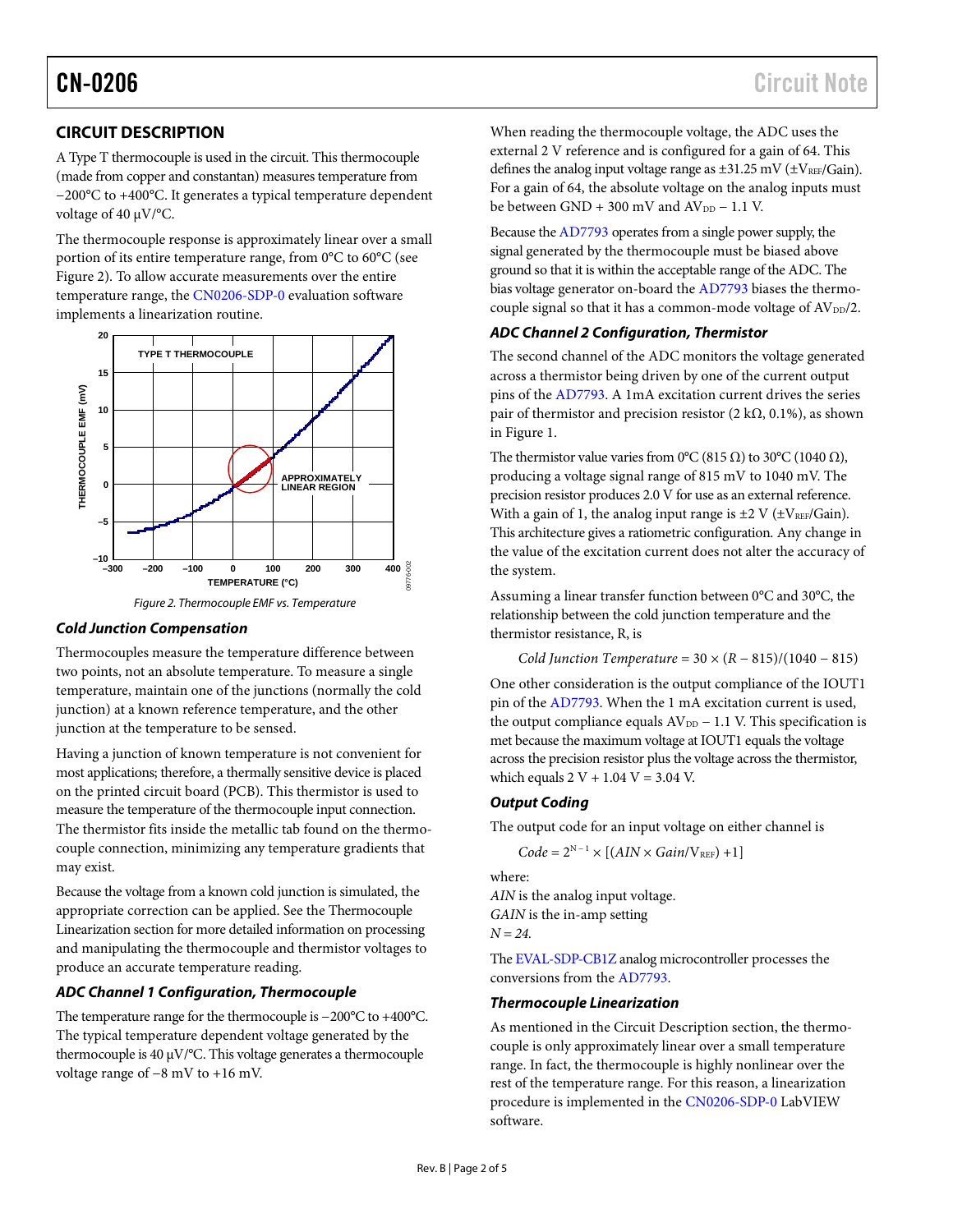# **CIRCUIT DESCRIPTION**

A Type T thermocouple is used in the circuit. This thermocouple (made from copper and constantan) measures temperature from −200°C to +400°C. It generates a typical temperature dependent voltage of 40 µV/°C.

The thermocouple response is approximately linear over a small portion of its entire temperature range, from 0°C to 60°C (see [Figure 2\)](#page-1-0). To allow accurate measurements over the entire temperature range, the [CN0206-SDP-0](ftp://ftp.analog.com/pub/cftl/CN0206?doc=CN0206.pdf) evaluation software implements a linearization routine.





# <span id="page-1-0"></span>*Cold Junction Compensation*

Thermocouples measure the temperature difference between two points, not an absolute temperature. To measure a single temperature, maintain one of the junctions (normally the cold junction) at a known reference temperature, and the other junction at the temperature to be sensed.

Having a junction of known temperature is not convenient for most applications; therefore, a thermally sensitive device is placed on the printed circuit board (PCB). This thermistor is used to measure the temperature of the thermocouple input connection. The thermistor fits inside the metallic tab found on the thermocouple connection, minimizing any temperature gradients that may exist.

Because the voltage from a known cold junction is simulated, the appropriate correction can be applied. See the [Thermocouple](#page-1-1)  [Linearization](#page-1-1) section for more detailed information on processing and manipulating the thermocouple and thermistor voltages to produce an accurate temperature reading.

# *ADC Channel 1 Configuration, Thermocouple*

The temperature range for the thermocouple is −200°C to +400°C. The typical temperature dependent voltage generated by the thermocouple is 40 µV/°C. This voltage generates a thermocouple voltage range of −8 mV to +16 mV.

When reading the thermocouple voltage, the ADC uses the external 2 V reference and is configured for a gain of 64. This defines the analog input voltage range as  $\pm 31.25$  mV ( $\pm$ V<sub>REF</sub>/Gain). For a gain of 64, the absolute voltage on the analog inputs must be between  $GND + 300$  mV and  $AV_{DD} - 1.1$  V.

Because th[e AD7793](http://www.analog.com/ad7793?doc=CN0206.pdf) operates from a single power supply, the signal generated by the thermocouple must be biased above ground so that it is within the acceptable range of the ADC. The bias voltage generator on-board the [AD7793](http://www.analog.com/ad7793?doc=CN0206.pdf) biases the thermocouple signal so that it has a common-mode voltage of  $AV<sub>DD</sub>/2$ .

# *ADC Channel 2 Configuration, Thermistor*

The second channel of the ADC monitors the voltage generated across a thermistor being driven by one of the current output pins of the [AD7793.](http://www.analog.com/ad7793?doc=CN0206.pdf) A 1mA excitation current drives the series pair of thermistor and precision resistor (2 kΩ, 0.1%), as shown in [Figure 1.](#page-0-0)

The thermistor value varies from 0°C (815  $\Omega$ ) to 30°C (1040  $\Omega$ ), producing a voltage signal range of 815 mV to 1040 mV. The precision resistor produces 2.0 V for use as an external reference. With a gain of 1, the analog input range is  $\pm 2$  V ( $\pm V_{REF}/Gain$ ). This architecture gives a ratiometric configuration. Any change in the value of the excitation current does not alter the accuracy of the system.

Assuming a linear transfer function between 0°C and 30°C, the relationship between the cold junction temperature and the thermistor resistance, R, is

```
Cold Junction Temperature = 30 \times (R - 815)/(1040 - 815)
```
One other consideration is the output compliance of the IOUT1 pin of th[e AD7793.](http://www.analog.com/ad7793?doc=CN0206.pdf) When the 1 mA excitation current is used, the output compliance equals  $AV_{DD} - 1.1$  V. This specification is met because the maximum voltage at IOUT1 equals the voltage across the precision resistor plus the voltage across the thermistor, which equals  $2 V + 1.04 V = 3.04 V$ .

# *Output Coding*

The output code for an input voltage on either channel is

$$
Code = 2^{N-1} \times [(AIN \times Gain/V_{REF}) + 1]
$$

where:

*AIN* is the analog input voltage. *GAIN* is the in-amp setting *N = 24*.

Th[e EVAL-SDP-CB1Z](http://www.analog.com/EVAL-SDP-CB1Z?doc=CN0206.pdf) analog microcontroller processes the conversions from th[e AD7793.](http://www.analog.com/ad7793?doc=CN0206.pdf)

## <span id="page-1-1"></span>*Thermocouple Linearization*

As mentioned in the Circuit Description section, the thermocouple is only approximately linear over a small temperature range. In fact, the thermocouple is highly nonlinear over the rest of the temperature range. For this reason, a linearization procedure is implemented in th[e CN0206-SDP-0](ftp://ftp.analog.com/pub/cftl/CN0206?doc=CN0206.pdf) LabVIEW software.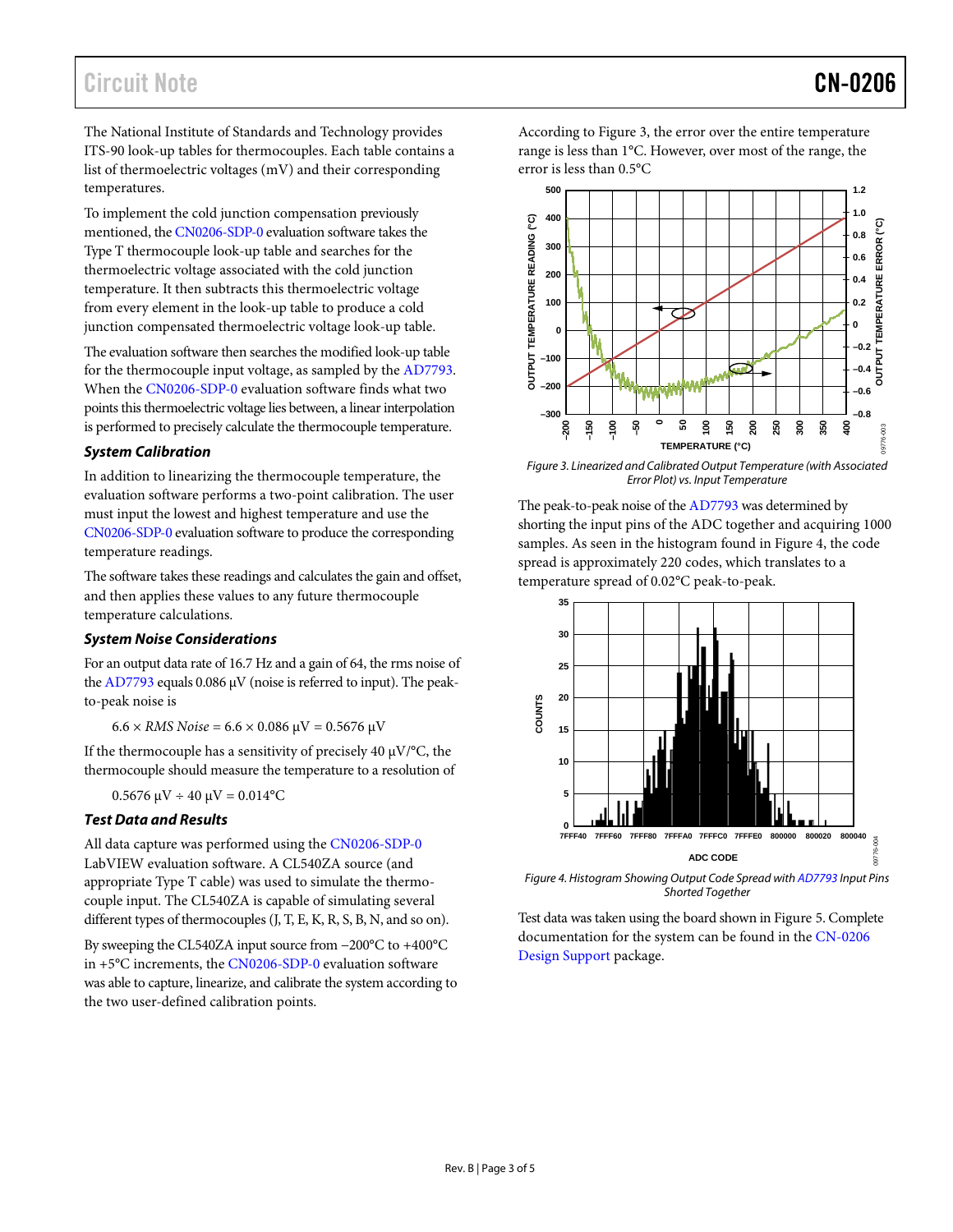The National Institute of Standards and Technology provides ITS-90 look-up tables for thermocouples. Each table contains a list of thermoelectric voltages (mV) and their corresponding temperatures.

To implement the cold junction compensation previously mentioned, the [CN0206-SDP-0](ftp://ftp.analog.com/pub/cftl/CN0206?doc=CN0206.pdf) evaluation software takes the Type T thermocouple look-up table and searches for the thermoelectric voltage associated with the cold junction temperature. It then subtracts this thermoelectric voltage from every element in the look-up table to produce a cold junction compensated thermoelectric voltage look-up table.

The evaluation software then searches the modified look-up table for the thermocouple input voltage, as sampled by the [AD7793.](http://www.analog.com/ad7793?doc=CN0206.pdf) When th[e CN0206-SDP-0](ftp://ftp.analog.com/pub/cftl/CN0206?doc=CN0206.pdf) evaluation software finds what two points this thermoelectric voltage lies between, a linear interpolation is performed to precisely calculate the thermocouple temperature.

# *System Calibration*

In addition to linearizing the thermocouple temperature, the evaluation software performs a two-point calibration. The user must input the lowest and highest temperature and use the [CN0206-SDP-0](ftp://ftp.analog.com/pub/cftl/CN0206?doc=CN0206.pdf) evaluation software to produce the corresponding temperature readings.

The software takes these readings and calculates the gain and offset, and then applies these values to any future thermocouple temperature calculations.

# *System Noise Considerations*

For an output data rate of 16.7 Hz and a gain of 64, the rms noise of the  $AD7793$  equals 0.086  $\mu$ V (noise is referred to input). The peakto-peak noise is

 $6.6 \times RMS\, Noise = 6.6 \times 0.086\,\mu V = 0.5676\,\mu V$ 

If the thermocouple has a sensitivity of precisely 40  $\mu$ V/°C, the thermocouple should measure the temperature to a resolution of

 $0.5676 \mu V \div 40 \mu V = 0.014$ °C

# *Test Data and Results*

All data capture was performed using th[e CN0206-SDP-0](ftp://ftp.analog.com/pub/cftl/CN0206?doc=CN0206.pdf) LabVIEW evaluation software. A CL540ZA source (and appropriate Type T cable) was used to simulate the thermocouple input. The CL540ZA is capable of simulating several different types of thermocouples (J, T, E, K, R, S, B, N, and so on).

By sweeping the CL540ZA input source from −200°C to +400°C in +5°C increments, the [CN0206-SDP-0](ftp://ftp.analog.com/pub/cftl/CN0206?doc=CN0206.pdf) evaluation software was able to capture, linearize, and calibrate the system according to the two user-defined calibration points.

According to [Figure 3,](#page-2-0) the error over the entire temperature range is less than 1°C. However, over most of the range, the error is less than 0.5°C



<span id="page-2-0"></span>*Figure 3. Linearized and Calibrated Output Temperature (with Associated Error Plot) vs. Input Temperature*

The peak-to-peak noise of th[e AD7793](http://www.analog.com/ad7793?doc=CN0206.pdf) was determined by shorting the input pins of the ADC together and acquiring 1000 samples. As seen in the histogram found in [Figure 4,](#page-2-1) the code spread is approximately 220 codes, which translates to a temperature spread of 0.02°C peak-to-peak.



<span id="page-2-1"></span>*Figure 4. Histogram Showing Output Code Spread wit[h AD7793](http://www.analog.com/ad7793?doc=CN0206.pdf) Input Pins Shorted Together*

Test data was taken using the board shown i[n Figure 5.](#page-3-0) Complete documentation for the system can be found in the [CN-0206](http://www.analog.com/CN0206-DesignSupport?doc=CN0206.pdf)  [Design Support](http://www.analog.com/CN0206-DesignSupport?doc=CN0206.pdf) package.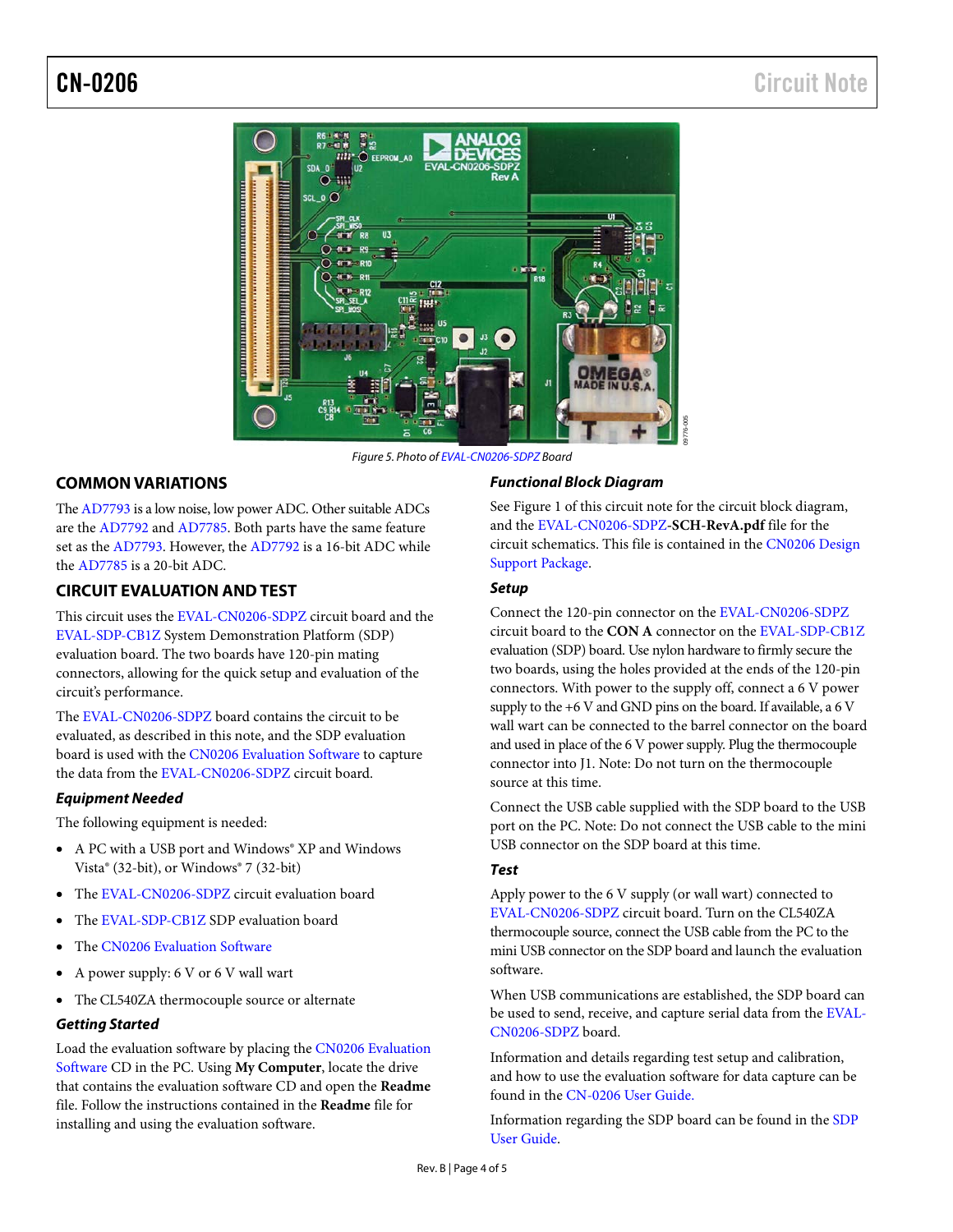

*Figure 5. Photo o[f EVAL-CN0206-SDPZ](http://www.analog.com/EVAL-CN0206-SDPZ?doc=CN0206.pdf) Board* 

# <span id="page-3-0"></span>**COMMON VARIATIONS**

Th[e AD7793](http://www.analog.com/ad7793?doc=CN0206.pdf) is a low noise, low power ADC. Other suitable ADCs are the [AD7792](http://www.analog.com/ad7792?doc=CN0206.pdf) an[d AD7785.](http://www.analog.com/ad7785?doc=CN0206.pdf) Both parts have the same feature set as th[e AD7793.](http://www.analog.com/ad7793?doc=CN0206.pdf) However, the [AD7792](http://www.analog.com/AD7792?doc=CN0206.pdf) is a 16-bit ADC while the [AD7785](http://www.analog.com/AD7785?doc=CN0206.pdf) is a 20-bit ADC.

# **CIRCUIT EVALUATION AND TEST**

This circuit uses the [EVAL-CN0206-SDPZ](http://www.analog.com/EVAL-CN0206-SDPZ?doc=CN0206.pdf) circuit board and the [EVAL-SDP-CB1Z](http://www.analog.com/EVAL-SDP-CB1Z?doc=CN0206.pdf) System Demonstration Platform (SDP) evaluation board. The two boards have 120-pin mating connectors, allowing for the quick setup and evaluation of the circuit's performance.

The [EVAL-CN0206-SDPZ](http://www.analog.com/EVAL-CN0206-SDPZ?doc=CN0206.pdf) board contains the circuit to be evaluated, as described in this note, and the SDP evaluation board is used with the [CN0206 Evaluation Software](ftp://ftp.analog.com/pub/cftl/CN0206?doc=CN0206.pdf) to capture the data from th[e EVAL-CN0206-SDPZ](http://www.analog.com/EVAL-CN0206-SDPZ?doc=CN0206.pdf) circuit board.

## *Equipment Needed*

The following equipment is needed:

- A PC with a USB port and Windows® XP and Windows Vista® (32-bit), or Windows® 7 (32-bit)
- The [EVAL-CN0206-SDPZ](http://www.analog.com/EVAL-CN0206-SDPZ?doc=CN0206.pdf) circuit evaluation board
- The [EVAL-SDP-CB1Z](http://www.analog.com/EVAL-SDP-CB1Z?doc=CN0206.pdf) SDP evaluation board
- The [CN0206 Evaluation Software](ftp://ftp.analog.com/pub/cftl/CN0206)
- A power supply: 6 V or 6 V wall wart
- The CL540ZA thermocouple source or alternate

# *Getting Started*

Load the evaluation software by placing th[e CN0206 Evaluation](ftp://ftp.analog.com/pub/cftl/CN0206)  [Software](ftp://ftp.analog.com/pub/cftl/CN0206) CD in the PC. Using **My Computer**, locate the drive that contains the evaluation software CD and open the **Readme** file. Follow the instructions contained in the **Readme** file for installing and using the evaluation software.

## *Functional Block Diagram*

See [Figure 1](#page-0-0) of this circuit note for the circuit block diagram, and th[e EVAL-CN0206-SDPZ](http://www.analog.com/EVAL-CN0206-SDPZ?doc=CN0206.pdf)**-SCH-RevA.pdf** file for the circuit schematics. This file is contained in th[e CN0206 Design](http://www.analog.com/CN0206-DesignSupport)  [Support Package.](http://www.analog.com/CN0206-DesignSupport)

# *Setup*

Connect the 120-pin connector on th[e EVAL-CN0206-SDPZ](http://www.analog.com/EVAL-CN0206-SDPZ?doc=CN0206.pdf) circuit board to the **CON A** connector on th[e EVAL-SDP-CB1Z](http://www.analog.com/EVAL-SDP-CB1Z?doc=CN0206.pdf) evaluation (SDP) board. Use nylon hardware to firmly secure the two boards, using the holes provided at the ends of the 120-pin connectors. With power to the supply off, connect a 6 V power supply to the  $+6$  V and GND pins on the board. If available, a  $6$  V wall wart can be connected to the barrel connector on the board and used in place of the 6 V power supply. Plug the thermocouple connector into J1. Note: Do not turn on the thermocouple source at this time.

Connect the USB cable supplied with the SDP board to the USB port on the PC. Note: Do not connect the USB cable to the mini USB connector on the SDP board at this time.

## *Test*

Apply power to the 6 V supply (or wall wart) connected to [EVAL-CN0206-SDPZ](http://www.analog.com/EVAL-CN0206-SDPZ?doc=CN0206.pdf) circuit board. Turn on the CL540ZA thermocouple source, connect the USB cable from the PC to the mini USB connector on the SDP board and launch the evaluation software.

When USB communications are established, the SDP board can be used to send, receive, and capture serial data from the [EVAL-](http://www.analog.com/EVAL-CN0206-SDPZ?doc=CN0206.pdf)[CN0206-SDPZ](http://www.analog.com/EVAL-CN0206-SDPZ?doc=CN0206.pdf) board.

Information and details regarding test setup and calibration, and how to use the evaluation software for data capture can be found in the [CN-0206 User Guide.](http://www.analog.com/CN0206-UserGuide?doc=CN0206.pdf) 

Information regarding the SDP board can be found in the [SDP](http://www.analog.com/SDP?doc=CN0206.pdf)  [User Guide.](http://www.analog.com/SDP?doc=CN0206.pdf)